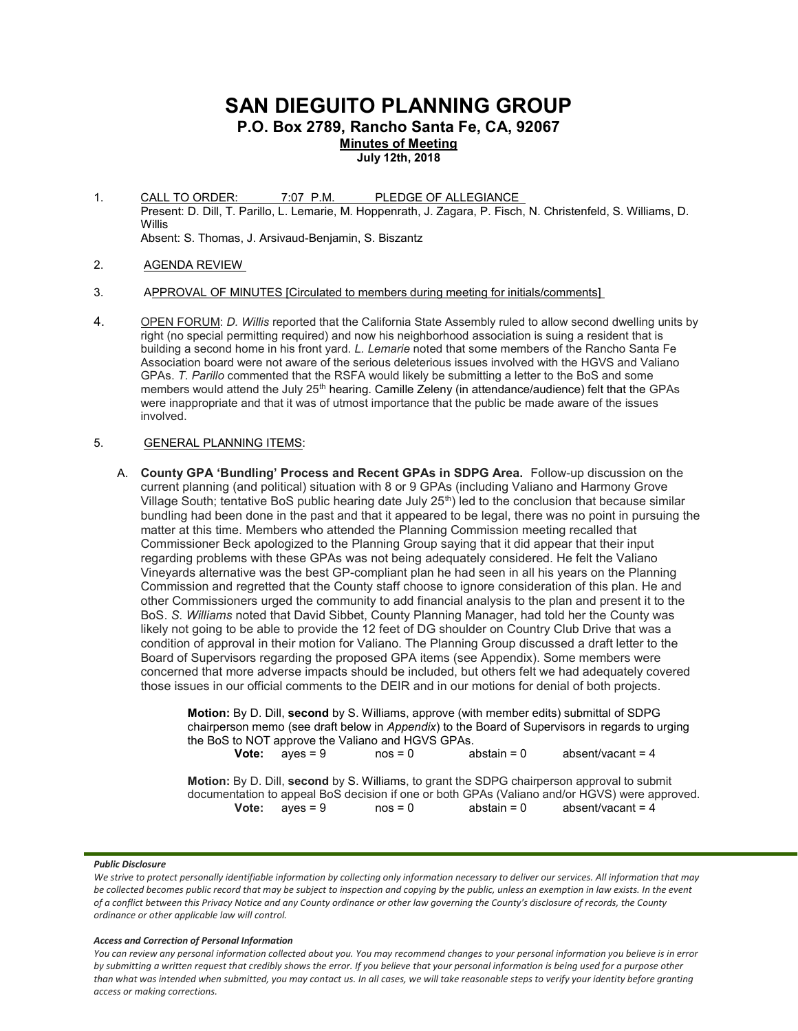# SAN DIEGUITO PLANNING GROUP

P.O. Box 2789, Rancho Santa Fe, CA, 92067

Minutes of Meeting

July 12th, 2018

- 1. CALL TO ORDER: 7:07 P.M. PLEDGE OF ALLEGIANCE Present: D. Dill, T. Parillo, L. Lemarie, M. Hoppenrath, J. Zagara, P. Fisch, N. Christenfeld, S. Williams, D. Willis Absent: S. Thomas, J. Arsivaud-Benjamin, S. Biszantz
- 2. AGENDA REVIEW
- 3. APPROVAL OF MINUTES [Circulated to members during meeting for initials/comments]
- 4. OPEN FORUM: D. Willis reported that the California State Assembly ruled to allow second dwelling units by right (no special permitting required) and now his neighborhood association is suing a resident that is building a second home in his front yard. L. Lemarie noted that some members of the Rancho Santa Fe Association board were not aware of the serious deleterious issues involved with the HGVS and Valiano GPAs. T. Parillo commented that the RSFA would likely be submitting a letter to the BoS and some members would attend the July 25<sup>th</sup> hearing. Camille Zeleny (in attendance/audience) felt that the GPAs were inappropriate and that it was of utmost importance that the public be made aware of the issues involved.

# 5. GENERAL PLANNING ITEMS:

A. County GPA 'Bundling' Process and Recent GPAs in SDPG Area. Follow-up discussion on the current planning (and political) situation with 8 or 9 GPAs (including Valiano and Harmony Grove Village South; tentative BoS public hearing date July 25<sup>th</sup>) led to the conclusion that because similar bundling had been done in the past and that it appeared to be legal, there was no point in pursuing the matter at this time. Members who attended the Planning Commission meeting recalled that Commissioner Beck apologized to the Planning Group saying that it did appear that their input regarding problems with these GPAs was not being adequately considered. He felt the Valiano Vineyards alternative was the best GP-compliant plan he had seen in all his years on the Planning Commission and regretted that the County staff choose to ignore consideration of this plan. He and other Commissioners urged the community to add financial analysis to the plan and present it to the BoS. S. Williams noted that David Sibbet, County Planning Manager, had told her the County was likely not going to be able to provide the 12 feet of DG shoulder on Country Club Drive that was a condition of approval in their motion for Valiano. The Planning Group discussed a draft letter to the Board of Supervisors regarding the proposed GPA items (see Appendix). Some members were concerned that more adverse impacts should be included, but others felt we had adequately covered those issues in our official comments to the DEIR and in our motions for denial of both projects.

> Motion: By D. Dill, second by S. Williams, approve (with member edits) submittal of SDPG chairperson memo (see draft below in Appendix) to the Board of Supervisors in regards to urging the BoS to NOT approve the Valiano and HGVS GPAs. **Vote:**  $a$ yes = 9  $a$  nos = 0  $a$  abstain = 0  $a$  absent/vacant = 4 Motion: By D. Dill, second by S. Williams, to grant the SDPG chairperson approval to submit documentation to appeal BoS decision if one or both GPAs (Valiano and/or HGVS) were approved.<br> **Vote:** ayes = 9 nos = 0 abstain = 0 absent/vacant = 4 **Vote:**  $ayes = 9$   $nos = 0$   $abstant = 4$

## Public Disclosure

## Access and Correction of Personal Information

We strive to protect personally identifiable information by collecting only information necessary to deliver our services. All information that may be collected becomes public record that may be subject to inspection and copying by the public, unless an exemption in law exists. In the event of a conflict between this Privacy Notice and any County ordinance or other law governing the County's disclosure of records, the County ordinance or other applicable law will control.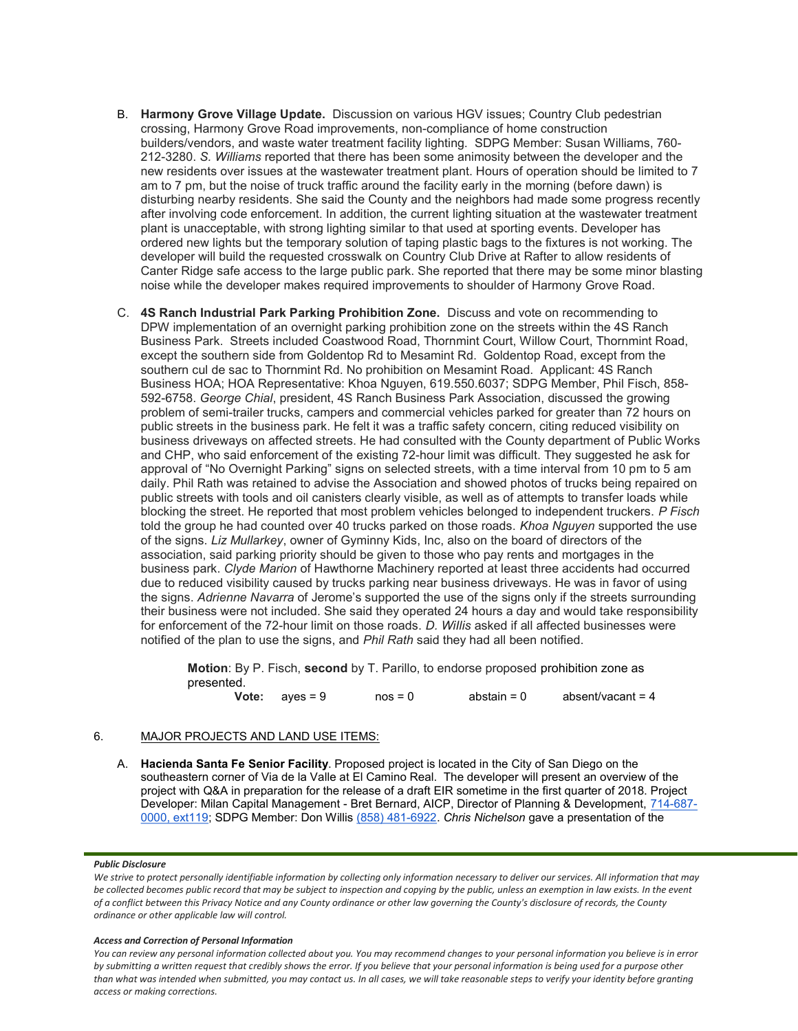- B. Harmony Grove Village Update. Discussion on various HGV issues; Country Club pedestrian crossing, Harmony Grove Road improvements, non-compliance of home construction builders/vendors, and waste water treatment facility lighting. SDPG Member: Susan Williams, 760- 212-3280. S. Williams reported that there has been some animosity between the developer and the new residents over issues at the wastewater treatment plant. Hours of operation should be limited to 7 am to 7 pm, but the noise of truck traffic around the facility early in the morning (before dawn) is disturbing nearby residents. She said the County and the neighbors had made some progress recently after involving code enforcement. In addition, the current lighting situation at the wastewater treatment plant is unacceptable, with strong lighting similar to that used at sporting events. Developer has ordered new lights but the temporary solution of taping plastic bags to the fixtures is not working. The developer will build the requested crosswalk on Country Club Drive at Rafter to allow residents of Canter Ridge safe access to the large public park. She reported that there may be some minor blasting noise while the developer makes required improvements to shoulder of Harmony Grove Road.
- C. 4S Ranch Industrial Park Parking Prohibition Zone. Discuss and vote on recommending to DPW implementation of an overnight parking prohibition zone on the streets within the 4S Ranch Business Park. Streets included Coastwood Road, Thornmint Court, Willow Court, Thornmint Road, except the southern side from Goldentop Rd to Mesamint Rd. Goldentop Road, except from the southern cul de sac to Thornmint Rd. No prohibition on Mesamint Road. Applicant: 4S Ranch Business HOA; HOA Representative: Khoa Nguyen, 619.550.6037; SDPG Member, Phil Fisch, 858- 592-6758. George Chial, president, 4S Ranch Business Park Association, discussed the growing problem of semi-trailer trucks, campers and commercial vehicles parked for greater than 72 hours on public streets in the business park. He felt it was a traffic safety concern, citing reduced visibility on business driveways on affected streets. He had consulted with the County department of Public Works and CHP, who said enforcement of the existing 72-hour limit was difficult. They suggested he ask for approval of "No Overnight Parking" signs on selected streets, with a time interval from 10 pm to 5 am daily. Phil Rath was retained to advise the Association and showed photos of trucks being repaired on public streets with tools and oil canisters clearly visible, as well as of attempts to transfer loads while blocking the street. He reported that most problem vehicles belonged to independent truckers. P Fisch told the group he had counted over 40 trucks parked on those roads. Khoa Nguyen supported the use of the signs. Liz Mullarkey, owner of Gyminny Kids, Inc, also on the board of directors of the association, said parking priority should be given to those who pay rents and mortgages in the business park. Clyde Marion of Hawthorne Machinery reported at least three accidents had occurred due to reduced visibility caused by trucks parking near business driveways. He was in favor of using the signs. Adrienne Navarra of Jerome's supported the use of the signs only if the streets surrounding their business were not included. She said they operated 24 hours a day and would take responsibility for enforcement of the 72-hour limit on those roads. D. Willis asked if all affected businesses were notified of the plan to use the signs, and *Phil Rath* said they had all been notified.

Motion: By P. Fisch, second by T. Parillo, to endorse proposed prohibition zone as presented.

Vote:  $ayes = 9$  nos = 0 abstain = 0 absent/vacant = 4

# 6. MAJOR PROJECTS AND LAND USE ITEMS:

A. Hacienda Santa Fe Senior Facility. Proposed project is located in the City of San Diego on the southeastern corner of Via de la Valle at El Camino Real. The developer will present an overview of the project with Q&A in preparation for the release of a draft EIR sometime in the first quarter of 2018. Project Developer: Milan Capital Management - Bret Bernard, AICP, Director of Planning & Development, 714-687- 0000, ext119; SDPG Member: Don Willis (858) 481-6922. Chris Nichelson gave a presentation of the

# Public Disclosure

## Access and Correction of Personal Information

We strive to protect personally identifiable information by collecting only information necessary to deliver our services. All information that may be collected becomes public record that may be subject to inspection and copying by the public, unless an exemption in law exists. In the event of a conflict between this Privacy Notice and any County ordinance or other law governing the County's disclosure of records, the County ordinance or other applicable law will control.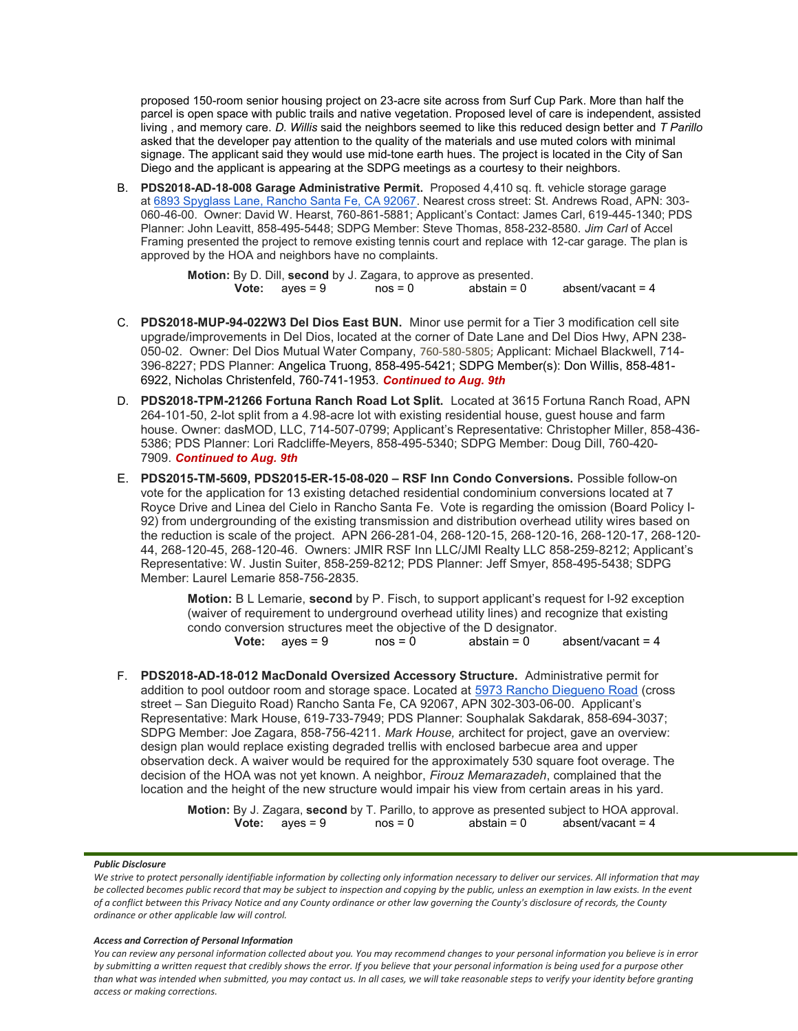proposed 150-room senior housing project on 23-acre site across from Surf Cup Park. More than half the parcel is open space with public trails and native vegetation. Proposed level of care is independent, assisted living, and memory care. D. Willis said the neighbors seemed to like this reduced design better and T Parillo asked that the developer pay attention to the quality of the materials and use muted colors with minimal signage. The applicant said they would use mid-tone earth hues. The project is located in the City of San Diego and the applicant is appearing at the SDPG meetings as a courtesy to their neighbors.

B. PDS2018-AD-18-008 Garage Administrative Permit. Proposed 4,410 sq. ft. vehicle storage garage at 6893 Spyglass Lane, Rancho Santa Fe, CA 92067. Nearest cross street: St. Andrews Road, APN: 303- 060-46-00. Owner: David W. Hearst, 760-861-5881; Applicant's Contact: James Carl, 619-445-1340; PDS Planner: John Leavitt, 858-495-5448; SDPG Member: Steve Thomas, 858-232-8580. Jim Carl of Accel Framing presented the project to remove existing tennis court and replace with 12-car garage. The plan is approved by the HOA and neighbors have no complaints.

> Motion: By D. Dill, second by J. Zagara, to approve as presented. **Vote:**  $aves = 9$   $nos = 0$   $abstain = 0$   $absent/vacant = 4$

- C. PDS2018-MUP-94-022W3 Del Dios East BUN. Minor use permit for a Tier 3 modification cell site upgrade/improvements in Del Dios, located at the corner of Date Lane and Del Dios Hwy, APN 238- 050-02. Owner: Del Dios Mutual Water Company, 760-580-5805; Applicant: Michael Blackwell, 714- 396-8227; PDS Planner: Angelica Truong, 858-495-5421; SDPG Member(s): Don Willis, 858-481- 6922, Nicholas Christenfeld, 760-741-1953. Continued to Aug. 9th
- D. PDS2018-TPM-21266 Fortuna Ranch Road Lot Split. Located at 3615 Fortuna Ranch Road, APN 264-101-50, 2-lot split from a 4.98-acre lot with existing residential house, guest house and farm house. Owner: dasMOD, LLC, 714-507-0799; Applicant's Representative: Christopher Miller, 858-436- 5386; PDS Planner: Lori Radcliffe-Meyers, 858-495-5340; SDPG Member: Doug Dill, 760-420- 7909. Continued to Aug. 9th
- E. PDS2015-TM-5609, PDS2015-ER-15-08-020 RSF Inn Condo Conversions. Possible follow-on vote for the application for 13 existing detached residential condominium conversions located at 7 Royce Drive and Linea del Cielo in Rancho Santa Fe. Vote is regarding the omission (Board Policy I-92) from undergrounding of the existing transmission and distribution overhead utility wires based on the reduction is scale of the project. APN 266-281-04, 268-120-15, 268-120-16, 268-120-17, 268-120- 44, 268-120-45, 268-120-46. Owners: JMIR RSF Inn LLC/JMI Realty LLC 858-259-8212; Applicant's Representative: W. Justin Suiter, 858-259-8212; PDS Planner: Jeff Smyer, 858-495-5438; SDPG Member: Laurel Lemarie 858-756-2835.

**Motion:** B L Lemarie, second by P. Fisch, to support applicant's request for I-92 exception (waiver of requirement to underground overhead utility lines) and recognize that existing condo conversion structures meet the objective of the D designator.

**Vote:**  $a$ yes = 9  $a$  nos = 0  $a$  abstain = 0  $a$  absent/vacant = 4

F. PDS2018-AD-18-012 MacDonald Oversized Accessory Structure. Administrative permit for addition to pool outdoor room and storage space. Located at 5973 Rancho Diegueno Road (cross street – San Dieguito Road) Rancho Santa Fe, CA 92067, APN 302-303-06-00. Applicant's Representative: Mark House, 619-733-7949; PDS Planner: Souphalak Sakdarak, 858-694-3037; SDPG Member: Joe Zagara, 858-756-4211. Mark House, architect for project, gave an overview: design plan would replace existing degraded trellis with enclosed barbecue area and upper observation deck. A waiver would be required for the approximately 530 square foot overage. The decision of the HOA was not yet known. A neighbor, Firouz Memarazadeh, complained that the location and the height of the new structure would impair his view from certain areas in his yard.

> **Motion:** By J. Zagara, **second** by T. Parillo, to approve as presented subject to HOA approval.<br>**Vote:** ayes = 9 mos = 0 abstain = 0 absent/vacant = 4 **Vote:**  $ayes = 9$   $nos = 0$

## Public Disclosure

#### Access and Correction of Personal Information

We strive to protect personally identifiable information by collecting only information necessary to deliver our services. All information that may be collected becomes public record that may be subject to inspection and copying by the public, unless an exemption in law exists. In the event of a conflict between this Privacy Notice and any County ordinance or other law governing the County's disclosure of records, the County ordinance or other applicable law will control.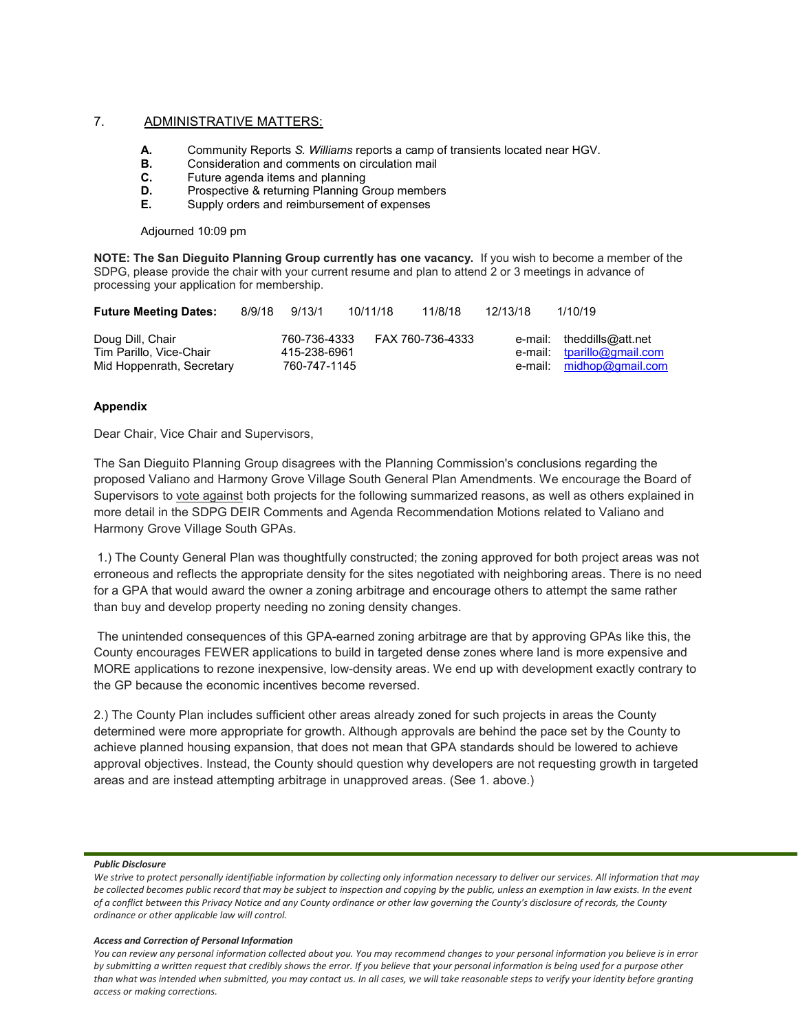# 7. ADMINISTRATIVE MATTERS:

- A. Community Reports S. Williams reports a camp of transients located near HGV.
- **B.** Consideration and comments on circulation mail
- C. Future agenda items and planning
- **D.** Prospective & returning Planning Group members
- E. Supply orders and reimbursement of expenses

Adjourned 10:09 pm

NOTE: The San Dieguito Planning Group currently has one vacancy. If you wish to become a member of the SDPG, please provide the chair with your current resume and plan to attend 2 or 3 meetings in advance of processing your application for membership.

| <b>Future Meeting Dates:</b>                | 8/9/18 | 9/13/1                       | 10/11/18 | 11/8/18          | 12/13/18 | 1/10/19                                                 |
|---------------------------------------------|--------|------------------------------|----------|------------------|----------|---------------------------------------------------------|
| Doug Dill, Chair<br>Tim Parillo, Vice-Chair |        | 760-736-4333<br>415-238-6961 |          | FAX 760-736-4333 |          | e-mail: theddills@att.net<br>e-mail: tparillo@gmail.com |
| Mid Hoppenrath, Secretary                   |        | 760-747-1145                 |          |                  |          | e-mail: midhop@gmail.com                                |

# Appendix

Dear Chair, Vice Chair and Supervisors,

The San Dieguito Planning Group disagrees with the Planning Commission's conclusions regarding the proposed Valiano and Harmony Grove Village South General Plan Amendments. We encourage the Board of Supervisors to vote against both projects for the following summarized reasons, as well as others explained in more detail in the SDPG DEIR Comments and Agenda Recommendation Motions related to Valiano and Harmony Grove Village South GPAs.

 1.) The County General Plan was thoughtfully constructed; the zoning approved for both project areas was not erroneous and reflects the appropriate density for the sites negotiated with neighboring areas. There is no need for a GPA that would award the owner a zoning arbitrage and encourage others to attempt the same rather than buy and develop property needing no zoning density changes.

 The unintended consequences of this GPA-earned zoning arbitrage are that by approving GPAs like this, the County encourages FEWER applications to build in targeted dense zones where land is more expensive and MORE applications to rezone inexpensive, low-density areas. We end up with development exactly contrary to the GP because the economic incentives become reversed.

2.) The County Plan includes sufficient other areas already zoned for such projects in areas the County determined were more appropriate for growth. Although approvals are behind the pace set by the County to achieve planned housing expansion, that does not mean that GPA standards should be lowered to achieve approval objectives. Instead, the County should question why developers are not requesting growth in targeted areas and are instead attempting arbitrage in unapproved areas. (See 1. above.)

## Public Disclosure

#### Access and Correction of Personal Information

We strive to protect personally identifiable information by collecting only information necessary to deliver our services. All information that may be collected becomes public record that may be subject to inspection and copying by the public, unless an exemption in law exists. In the event of a conflict between this Privacy Notice and any County ordinance or other law governing the County's disclosure of records, the County ordinance or other applicable law will control.